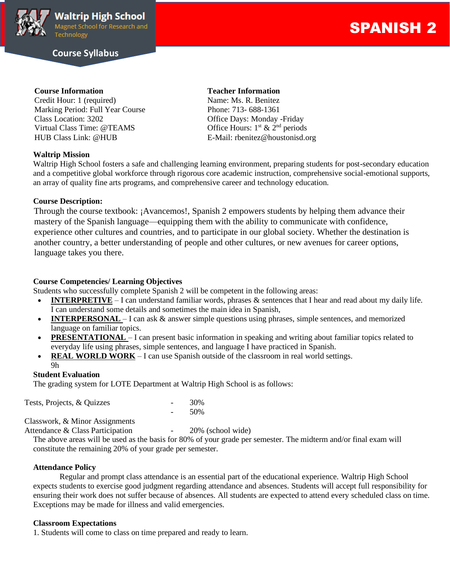

# **Course Syllabus**

# SPANISH 2

Credit Hour: 1 (required) Name: Ms. R. Benitez Marking Period: Full Year Course Phone: 713-688-1361 Class Location: 3202 Office Days: Monday -Friday Virtual Class Time: @TEAMS HUB Class Link: @HUB E-Mail: rbenitez@houstonisd.org

### **Waltrip Mission**

#### **Course Information Teacher Information**

Office Hours:  $1<sup>st</sup>$  &  $2<sup>nd</sup>$  periods

Waltrip High School fosters a safe and challenging learning environment, preparing students for post-secondary education and a competitive global workforce through rigorous core academic instruction, comprehensive social-emotional supports, an array of quality fine arts programs, and comprehensive career and technology education.

#### **Course Description:**

Through the course textbook: ¡Avancemos!, Spanish 2 empowers students by helping them advance their mastery of the Spanish language—equipping them with the ability to communicate with confidence, experience other cultures and countries, and to participate in our global society. Whether the destination is another country, a better understanding of people and other cultures, or new avenues for career options, language takes you there.

### **Course Competencies/ Learning Objectives**

Students who successfully complete Spanish 2 will be competent in the following areas:

- **INTERPRETIVE** I can understand familiar words, phrases & sentences that I hear and read about my daily life. I can understand some details and sometimes the main idea in Spanish,
- **INTERPERSONAL** I can ask & answer simple questions using phrases, simple sentences, and memorized language on familiar topics.
- **PRESENTATIONAL** I can present basic information in speaking and writing about familiar topics related to everyday life using phrases, simple sentences, and language I have practiced in Spanish.
- **REAL WORLD WORK** I can use Spanish outside of the classroom in real world settings.

- 50%

#### 9h

#### **Student Evaluation**

The grading system for LOTE Department at Waltrip High School is as follows:

| Tests, Projects, & Quizzes | 30% |
|----------------------------|-----|
|                            |     |

Classwork, & Minor Assignments

Attendance & Class Participation - 20% (school wide)

The above areas will be used as the basis for 80% of your grade per semester. The midterm and/or final exam will constitute the remaining 20% of your grade per semester.

#### **Attendance Policy**

Regular and prompt class attendance is an essential part of the educational experience. Waltrip High School expects students to exercise good judgment regarding attendance and absences. Students will accept full responsibility for ensuring their work does not suffer because of absences. All students are expected to attend every scheduled class on time. Exceptions may be made for illness and valid emergencies.

#### **Classroom Expectations**

1. Students will come to class on time prepared and ready to learn.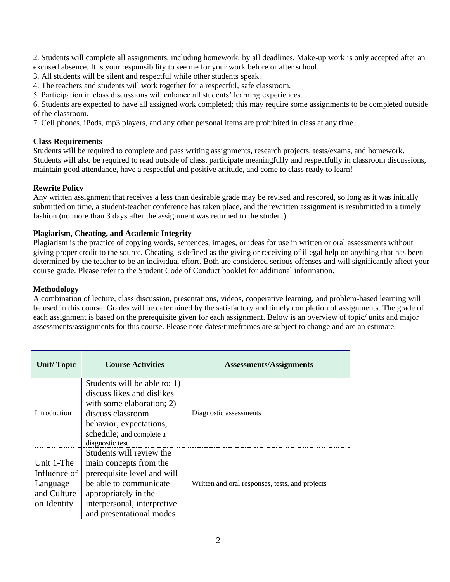2. Students will complete all assignments, including homework, by all deadlines. Make-up work is only accepted after an excused absence. It is your responsibility to see me for your work before or after school.

3. All students will be silent and respectful while other students speak.

4. The teachers and students will work together for a respectful, safe classroom.

5. Participation in class discussions will enhance all students' learning experiences.

6. Students are expected to have all assigned work completed; this may require some assignments to be completed outside of the classroom.

7. Cell phones, iPods, mp3 players, and any other personal items are prohibited in class at any time.

## **Class Requirements**

Students will be required to complete and pass writing assignments, research projects, tests/exams, and homework. Students will also be required to read outside of class, participate meaningfully and respectfully in classroom discussions, maintain good attendance, have a respectful and positive attitude, and come to class ready to learn!

# **Rewrite Policy**

Any written assignment that receives a less than desirable grade may be revised and rescored, so long as it was initially submitted on time, a student-teacher conference has taken place, and the rewritten assignment is resubmitted in a timely fashion (no more than 3 days after the assignment was returned to the student).

### **Plagiarism, Cheating, and Academic Integrity**

Plagiarism is the practice of copying words, sentences, images, or ideas for use in written or oral assessments without giving proper credit to the source. Cheating is defined as the giving or receiving of illegal help on anything that has been determined by the teacher to be an individual effort. Both are considered serious offenses and will significantly affect your course grade. Please refer to the Student Code of Conduct booklet for additional information.

### **Methodology**

A combination of lecture, class discussion, presentations, videos, cooperative learning, and problem-based learning will be used in this course. Grades will be determined by the satisfactory and timely completion of assignments. The grade of each assignment is based on the prerequisite given for each assignment. Below is an overview of topic/ units and major assessments/assignments for this course. Please note dates/timeframes are subject to change and are an estimate.

| <b>Unit/Topic</b>                                                    | <b>Course Activities</b>                                                                                                                                                                       | <b>Assessments/Assignments</b>                  |
|----------------------------------------------------------------------|------------------------------------------------------------------------------------------------------------------------------------------------------------------------------------------------|-------------------------------------------------|
| Introduction                                                         | Students will be able to: 1)<br>discuss likes and dislikes<br>with some elaboration; 2)<br>discuss classroom<br>behavior, expectations,<br>schedule; and complete a<br>diagnostic test         | Diagnostic assessments                          |
| Unit 1-The<br>Influence of<br>Language<br>and Culture<br>on Identity | Students will review the<br>main concepts from the<br>prerequisite level and will<br>be able to communicate<br>appropriately in the<br>interpersonal, interpretive<br>and presentational modes | Written and oral responses, tests, and projects |